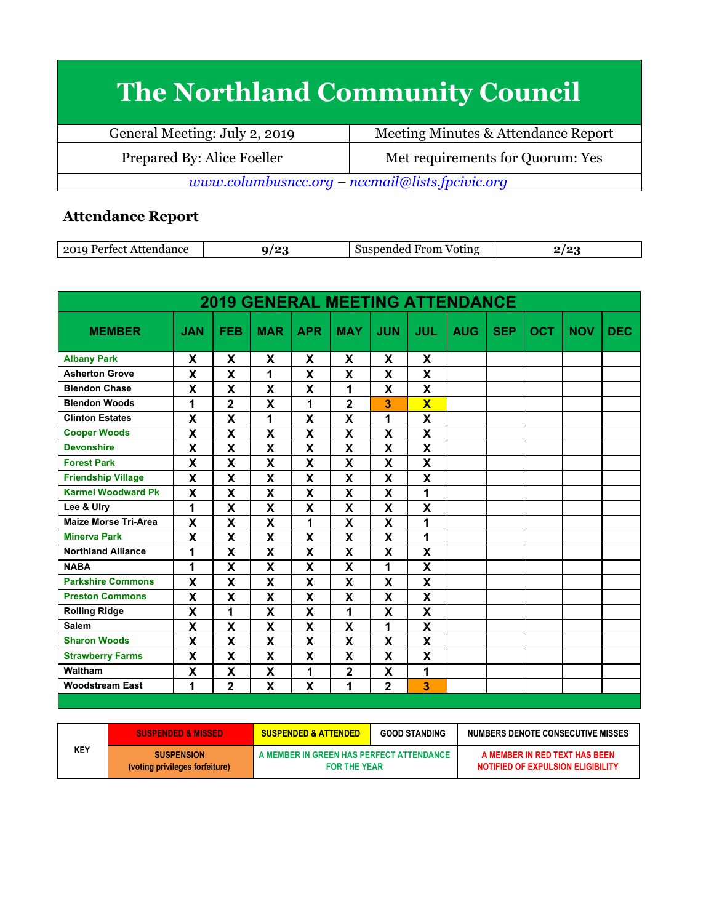## **The Northland Community Council**

| General Meeting: July 2, 2019                   | Meeting Minutes & Attendance Report |  |  |  |  |
|-------------------------------------------------|-------------------------------------|--|--|--|--|
| Prepared By: Alice Foeller                      | Met requirements for Quorum: Yes    |  |  |  |  |
| www.columbusncc.org - nccmail@lists.fpcivic.org |                                     |  |  |  |  |

## **Attendance Report**

| 201<br>Oting<br>70 H H<br>.<br>.<br><br>--<br>___ |
|---------------------------------------------------|
|---------------------------------------------------|

| <b>2019 GENERAL MEETING ATTENDANCE</b> |                           |                         |             |              |                           |                           |                         |            |            |            |            |            |
|----------------------------------------|---------------------------|-------------------------|-------------|--------------|---------------------------|---------------------------|-------------------------|------------|------------|------------|------------|------------|
| <b>MEMBER</b>                          | <b>JAN</b>                | <b>FEB</b>              | <b>MAR</b>  | <b>APR</b>   | <b>MAY</b>                | <b>JUN</b>                | <b>JUL</b>              | <b>AUG</b> | <b>SEP</b> | <b>OCT</b> | <b>NOV</b> | <b>DEC</b> |
| <b>Albany Park</b>                     | X                         | X                       | X           | X            | X                         | X                         | X                       |            |            |            |            |            |
| <b>Asherton Grove</b>                  | X                         | X                       | 1           | X            | X                         | X                         | X                       |            |            |            |            |            |
| <b>Blendon Chase</b>                   | X                         | X                       | $\mathbf x$ | X            | 1                         | X                         | $\mathbf x$             |            |            |            |            |            |
| <b>Blendon Woods</b>                   | 1                         | $\mathbf 2$             | X           | 1            | $\overline{2}$            | 3                         | $\overline{\mathbf{x}}$ |            |            |            |            |            |
| <b>Clinton Estates</b>                 | $\mathsf{x}$              | X                       | 1           | X            | $\boldsymbol{\mathsf{x}}$ | 1                         | X                       |            |            |            |            |            |
| <b>Cooper Woods</b>                    | X                         | X                       | X           | X            | X                         | $\boldsymbol{\mathsf{x}}$ | X                       |            |            |            |            |            |
| <b>Devonshire</b>                      | X                         | X                       | X           | X            | X                         | X                         | X                       |            |            |            |            |            |
| <b>Forest Park</b>                     | X                         | X                       | X           | X            | $\mathbf x$               | X                         | X                       |            |            |            |            |            |
| <b>Friendship Village</b>              | X                         | X                       | X           | X            | X                         | X                         | X                       |            |            |            |            |            |
| <b>Karmel Woodward Pk</b>              | $\boldsymbol{\mathsf{x}}$ | X                       | X           | X            | $\mathbf x$               | X                         | 1                       |            |            |            |            |            |
| Lee & Ulry                             | 1                         | X                       | X           | X            | X                         | X                         | X                       |            |            |            |            |            |
| <b>Maize Morse Tri-Area</b>            | X                         | X                       | X           | 1            | X                         | X                         | 1                       |            |            |            |            |            |
| <b>Minerva Park</b>                    | $\mathbf x$               | $\overline{\mathbf{X}}$ | X           | $\mathbf{x}$ | $\mathbf x$               | $\mathbf{x}$              | 1                       |            |            |            |            |            |
| <b>Northland Alliance</b>              | 1                         | X                       | X           | X            | X                         | X                         | X                       |            |            |            |            |            |
| <b>NABA</b>                            | 1                         | X                       | X           | X            | X                         | 1                         | X                       |            |            |            |            |            |
| <b>Parkshire Commons</b>               | $\mathsf{x}$              | X                       | X           | X            | $\mathsf{x}$              | $\boldsymbol{\mathsf{X}}$ | X                       |            |            |            |            |            |
| <b>Preston Commons</b>                 | X                         | X                       | X           | X            | X                         | X                         | X                       |            |            |            |            |            |
| <b>Rolling Ridge</b>                   | $\boldsymbol{\mathsf{x}}$ | 1                       | X           | X            | 1                         | $\mathbf{x}$              | X                       |            |            |            |            |            |
| <b>Salem</b>                           | X                         | X                       | X           | X            | X                         | 1                         | X                       |            |            |            |            |            |
| <b>Sharon Woods</b>                    | $\mathbf x$               | X                       | X           | X            | $\boldsymbol{\mathsf{x}}$ | X                         | X                       |            |            |            |            |            |
| <b>Strawberry Farms</b>                | X                         | X                       | X           | X            | X                         | X                         | X                       |            |            |            |            |            |
| Waltham                                | $\boldsymbol{\mathsf{X}}$ | X                       | X           | 1            | $\overline{\mathbf{2}}$   | X                         | 1                       |            |            |            |            |            |
| <b>Woodstream East</b>                 | 1                         | $\overline{2}$          | X           | X            | 1                         | $\overline{2}$            | 3                       |            |            |            |            |            |

|     | <b>SUSPENDED &amp; MISSED</b>                       | <b>SUSPENDED &amp; ATTENDED</b>                                 | <b>GOOD STANDING</b> | NUMBERS DENOTE CONSECUTIVE MISSES                                  |  |  |
|-----|-----------------------------------------------------|-----------------------------------------------------------------|----------------------|--------------------------------------------------------------------|--|--|
| KEY | <b>SUSPENSION</b><br>(voting privileges forfeiture) | A MEMBER IN GREEN HAS PERFECT ATTENDANCE<br><b>FOR THE YEAR</b> |                      | A MEMBER IN RED TEXT HAS BEEN<br>NOTIFIED OF EXPULSION ELIGIBILITY |  |  |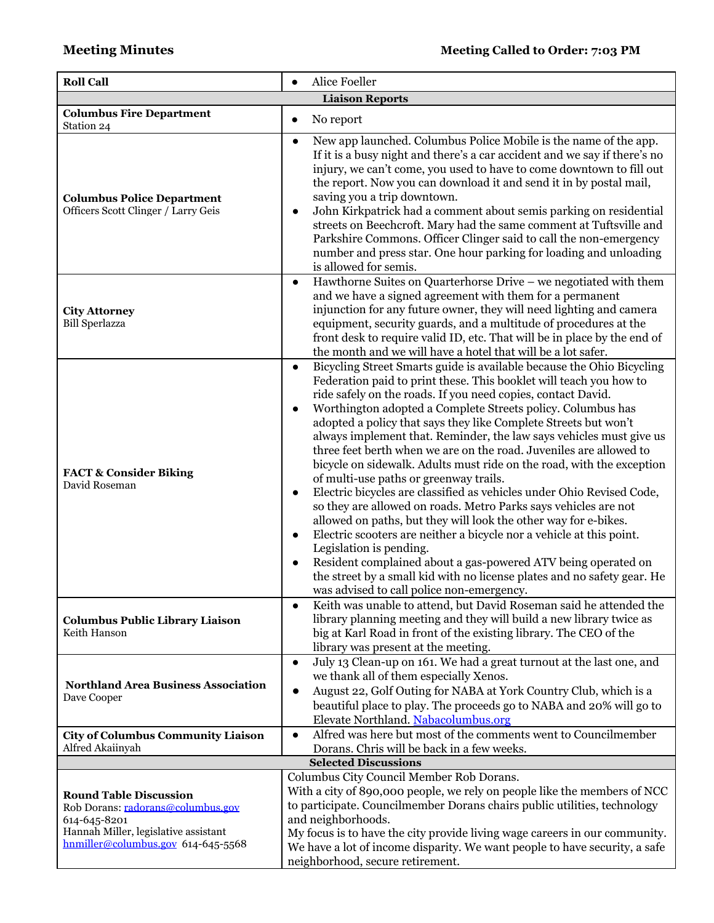| <b>Roll Call</b>                                                                                                                                                 | Alice Foeller<br>$\bullet$                                                                                                                                                                                                                                                                                                                                                                                                                                                                                                                                                                                                                                                                                                                                                                                                                                                                                                                                                                                                                                                                                                                                      |  |  |  |
|------------------------------------------------------------------------------------------------------------------------------------------------------------------|-----------------------------------------------------------------------------------------------------------------------------------------------------------------------------------------------------------------------------------------------------------------------------------------------------------------------------------------------------------------------------------------------------------------------------------------------------------------------------------------------------------------------------------------------------------------------------------------------------------------------------------------------------------------------------------------------------------------------------------------------------------------------------------------------------------------------------------------------------------------------------------------------------------------------------------------------------------------------------------------------------------------------------------------------------------------------------------------------------------------------------------------------------------------|--|--|--|
|                                                                                                                                                                  | <b>Liaison Reports</b>                                                                                                                                                                                                                                                                                                                                                                                                                                                                                                                                                                                                                                                                                                                                                                                                                                                                                                                                                                                                                                                                                                                                          |  |  |  |
| <b>Columbus Fire Department</b><br>Station 24                                                                                                                    | No report<br>$\bullet$                                                                                                                                                                                                                                                                                                                                                                                                                                                                                                                                                                                                                                                                                                                                                                                                                                                                                                                                                                                                                                                                                                                                          |  |  |  |
| <b>Columbus Police Department</b><br>Officers Scott Clinger / Larry Geis                                                                                         | New app launched. Columbus Police Mobile is the name of the app.<br>$\bullet$<br>If it is a busy night and there's a car accident and we say if there's no<br>injury, we can't come, you used to have to come downtown to fill out<br>the report. Now you can download it and send it in by postal mail,<br>saving you a trip downtown.<br>John Kirkpatrick had a comment about semis parking on residential<br>streets on Beechcroft. Mary had the same comment at Tuftsville and<br>Parkshire Commons. Officer Clinger said to call the non-emergency<br>number and press star. One hour parking for loading and unloading<br>is allowed for semis.                                                                                                                                                                                                                                                                                                                                                                                                                                                                                                           |  |  |  |
| <b>City Attorney</b><br><b>Bill Sperlazza</b>                                                                                                                    | Hawthorne Suites on Quarterhorse Drive - we negotiated with them<br>$\bullet$<br>and we have a signed agreement with them for a permanent<br>injunction for any future owner, they will need lighting and camera<br>equipment, security guards, and a multitude of procedures at the<br>front desk to require valid ID, etc. That will be in place by the end of<br>the month and we will have a hotel that will be a lot safer.                                                                                                                                                                                                                                                                                                                                                                                                                                                                                                                                                                                                                                                                                                                                |  |  |  |
| <b>FACT &amp; Consider Biking</b><br>David Roseman                                                                                                               | Bicycling Street Smarts guide is available because the Ohio Bicycling<br>$\bullet$<br>Federation paid to print these. This booklet will teach you how to<br>ride safely on the roads. If you need copies, contact David.<br>Worthington adopted a Complete Streets policy. Columbus has<br>adopted a policy that says they like Complete Streets but won't<br>always implement that. Reminder, the law says vehicles must give us<br>three feet berth when we are on the road. Juveniles are allowed to<br>bicycle on sidewalk. Adults must ride on the road, with the exception<br>of multi-use paths or greenway trails.<br>Electric bicycles are classified as vehicles under Ohio Revised Code,<br>$\bullet$<br>so they are allowed on roads. Metro Parks says vehicles are not<br>allowed on paths, but they will look the other way for e-bikes.<br>Electric scooters are neither a bicycle nor a vehicle at this point.<br>$\bullet$<br>Legislation is pending.<br>Resident complained about a gas-powered ATV being operated on<br>the street by a small kid with no license plates and no safety gear. He<br>was advised to call police non-emergency. |  |  |  |
| <b>Columbus Public Library Liaison</b><br>Keith Hanson                                                                                                           | Keith was unable to attend, but David Roseman said he attended the<br>library planning meeting and they will build a new library twice as<br>big at Karl Road in front of the existing library. The CEO of the<br>library was present at the meeting.                                                                                                                                                                                                                                                                                                                                                                                                                                                                                                                                                                                                                                                                                                                                                                                                                                                                                                           |  |  |  |
| <b>Northland Area Business Association</b><br>Dave Cooper                                                                                                        | July 13 Clean-up on 161. We had a great turnout at the last one, and<br>$\bullet$<br>we thank all of them especially Xenos.<br>August 22, Golf Outing for NABA at York Country Club, which is a<br>$\bullet$<br>beautiful place to play. The proceeds go to NABA and 20% will go to<br>Elevate Northland. Nabacolumbus.org                                                                                                                                                                                                                                                                                                                                                                                                                                                                                                                                                                                                                                                                                                                                                                                                                                      |  |  |  |
| <b>City of Columbus Community Liaison</b><br>Alfred Akaiinyah                                                                                                    | Alfred was here but most of the comments went to Councilmember<br>$\bullet$<br>Dorans. Chris will be back in a few weeks.                                                                                                                                                                                                                                                                                                                                                                                                                                                                                                                                                                                                                                                                                                                                                                                                                                                                                                                                                                                                                                       |  |  |  |
|                                                                                                                                                                  | <b>Selected Discussions</b>                                                                                                                                                                                                                                                                                                                                                                                                                                                                                                                                                                                                                                                                                                                                                                                                                                                                                                                                                                                                                                                                                                                                     |  |  |  |
| <b>Round Table Discussion</b><br>Rob Dorans: radorans@columbus.gov<br>614-645-8201<br>Hannah Miller, legislative assistant<br>hnmiller@columbus.gov 614-645-5568 | Columbus City Council Member Rob Dorans.<br>With a city of 890,000 people, we rely on people like the members of NCC<br>to participate. Councilmember Dorans chairs public utilities, technology<br>and neighborhoods.<br>My focus is to have the city provide living wage careers in our community.<br>We have a lot of income disparity. We want people to have security, a safe<br>neighborhood, secure retirement.                                                                                                                                                                                                                                                                                                                                                                                                                                                                                                                                                                                                                                                                                                                                          |  |  |  |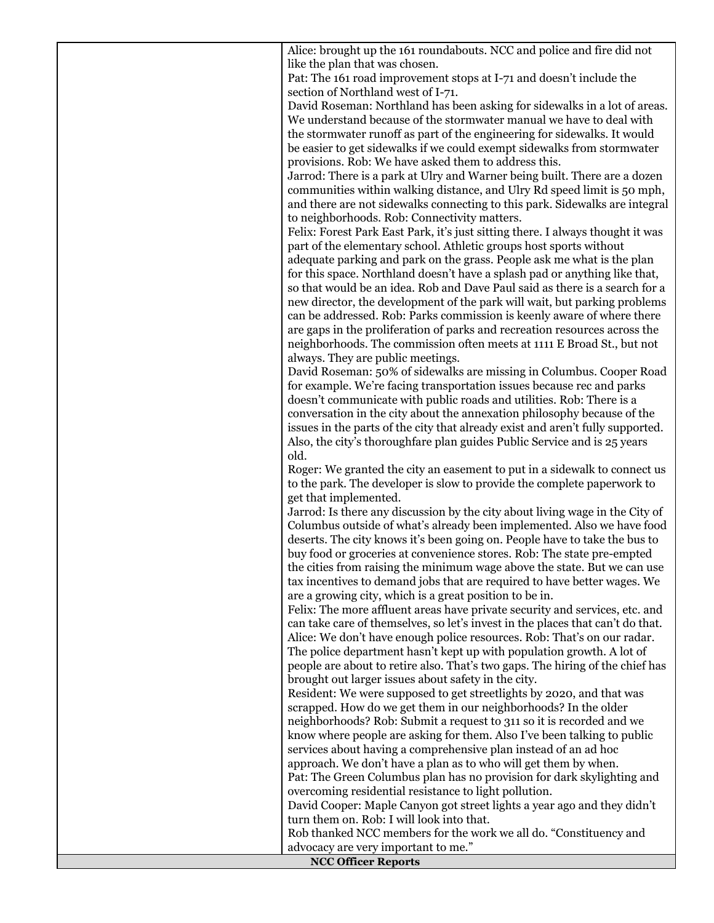Alice: brought up the 161 roundabouts. NCC and police and fire did not like the plan that was chosen.

Pat: The 161 road improvement stops at I-71 and doesn't include the section of Northland west of I-71.

David Roseman: Northland has been asking for sidewalks in a lot of areas. We understand because of the stormwater manual we have to deal with the stormwater runoff as part of the engineering for sidewalks. It would be easier to get sidewalks if we could exempt sidewalks from stormwater provisions. Rob: We have asked them to address this.

Jarrod: There is a park at Ulry and Warner being built. There are a dozen communities within walking distance, and Ulry Rd speed limit is 50 mph, and there are not sidewalks connecting to this park. Sidewalks are integral to neighborhoods. Rob: Connectivity matters.

Felix: Forest Park East Park, it's just sitting there. I always thought it was part of the elementary school. Athletic groups host sports without adequate parking and park on the grass. People ask me what is the plan for this space. Northland doesn't have a splash pad or anything like that, so that would be an idea. Rob and Dave Paul said as there is a search for a

new director, the development of the park will wait, but parking problems can be addressed. Rob: Parks commission is keenly aware of where there are gaps in the proliferation of parks and recreation resources across the neighborhoods. The commission often meets at 1111 E Broad St., but not always. They are public meetings.

David Roseman: 50% of sidewalks are missing in Columbus. Cooper Road for example. We're facing transportation issues because rec and parks doesn't communicate with public roads and utilities. Rob: There is a conversation in the city about the annexation philosophy because of the issues in the parts of the city that already exist and aren't fully supported. Also, the city's thoroughfare plan guides Public Service and is 25 years old.

Roger: We granted the city an easement to put in a sidewalk to connect us to the park. The developer is slow to provide the complete paperwork to get that implemented.

Jarrod: Is there any discussion by the city about living wage in the City of Columbus outside of what's already been implemented. Also we have food deserts. The city knows it's been going on. People have to take the bus to buy food or groceries at convenience stores. Rob: The state pre-empted the cities from raising the minimum wage above the state. But we can use tax incentives to demand jobs that are required to have better wages. We are a growing city, which is a great position to be in.

Felix: The more affluent areas have private security and services, etc. and can take care of themselves, so let's invest in the places that can't do that. Alice: We don't have enough police resources. Rob: That's on our radar. The police department hasn't kept up with population growth. A lot of people are about to retire also. That's two gaps. The hiring of the chief has brought out larger issues about safety in the city.

Resident: We were supposed to get streetlights by 2020, and that was scrapped. How do we get them in our neighborhoods? In the older neighborhoods? Rob: Submit a request to 311 so it is recorded and we know where people are asking for them. Also I've been talking to public services about having a comprehensive plan instead of an ad hoc approach. We don't have a plan as to who will get them by when.

Pat: The Green Columbus plan has no provision for dark skylighting and overcoming residential resistance to light pollution.

David Cooper: Maple Canyon got street lights a year ago and they didn't turn them on. Rob: I will look into that.

Rob thanked NCC members for the work we all do. "Constituency and advocacy are very important to me."

**NCC Officer Reports**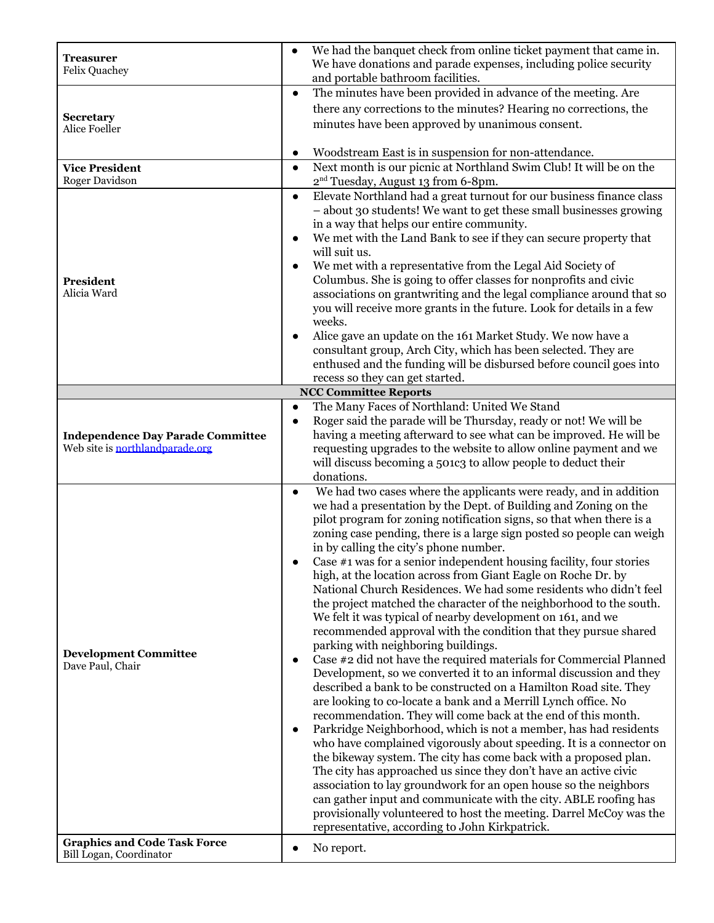| <b>Treasurer</b>                                               | We had the banquet check from online ticket payment that came in.                                                                        |  |  |  |  |
|----------------------------------------------------------------|------------------------------------------------------------------------------------------------------------------------------------------|--|--|--|--|
| <b>Felix Quachey</b>                                           | We have donations and parade expenses, including police security                                                                         |  |  |  |  |
|                                                                | and portable bathroom facilities.<br>The minutes have been provided in advance of the meeting. Are                                       |  |  |  |  |
|                                                                | $\bullet$                                                                                                                                |  |  |  |  |
| <b>Secretary</b>                                               | there any corrections to the minutes? Hearing no corrections, the                                                                        |  |  |  |  |
| Alice Foeller                                                  | minutes have been approved by unanimous consent.                                                                                         |  |  |  |  |
|                                                                | Woodstream East is in suspension for non-attendance.<br>$\bullet$                                                                        |  |  |  |  |
| <b>Vice President</b>                                          | Next month is our picnic at Northland Swim Club! It will be on the<br>$\bullet$                                                          |  |  |  |  |
| Roger Davidson                                                 | 2 <sup>nd</sup> Tuesday, August 13 from 6-8pm.                                                                                           |  |  |  |  |
|                                                                | Elevate Northland had a great turnout for our business finance class<br>$\bullet$                                                        |  |  |  |  |
|                                                                | - about 30 students! We want to get these small businesses growing                                                                       |  |  |  |  |
|                                                                | in a way that helps our entire community.                                                                                                |  |  |  |  |
|                                                                | We met with the Land Bank to see if they can secure property that                                                                        |  |  |  |  |
|                                                                | will suit us.                                                                                                                            |  |  |  |  |
|                                                                | We met with a representative from the Legal Aid Society of                                                                               |  |  |  |  |
| <b>President</b><br>Alicia Ward                                | Columbus. She is going to offer classes for nonprofits and civic<br>associations on grantwriting and the legal compliance around that so |  |  |  |  |
|                                                                | you will receive more grants in the future. Look for details in a few                                                                    |  |  |  |  |
|                                                                | weeks.                                                                                                                                   |  |  |  |  |
|                                                                | Alice gave an update on the 161 Market Study. We now have a                                                                              |  |  |  |  |
|                                                                | consultant group, Arch City, which has been selected. They are                                                                           |  |  |  |  |
|                                                                | enthused and the funding will be disbursed before council goes into                                                                      |  |  |  |  |
|                                                                | recess so they can get started.                                                                                                          |  |  |  |  |
|                                                                | <b>NCC Committee Reports</b>                                                                                                             |  |  |  |  |
|                                                                | The Many Faces of Northland: United We Stand<br>$\bullet$<br>Roger said the parade will be Thursday, ready or not! We will be            |  |  |  |  |
| <b>Independence Day Parade Committee</b>                       | having a meeting afterward to see what can be improved. He will be                                                                       |  |  |  |  |
| Web site is northlandparade.org                                | requesting upgrades to the website to allow online payment and we                                                                        |  |  |  |  |
|                                                                |                                                                                                                                          |  |  |  |  |
|                                                                |                                                                                                                                          |  |  |  |  |
|                                                                | will discuss becoming a 501c3 to allow people to deduct their<br>donations.                                                              |  |  |  |  |
|                                                                | We had two cases where the applicants were ready, and in addition<br>$\bullet$                                                           |  |  |  |  |
|                                                                | we had a presentation by the Dept. of Building and Zoning on the                                                                         |  |  |  |  |
|                                                                | pilot program for zoning notification signs, so that when there is a                                                                     |  |  |  |  |
|                                                                | zoning case pending, there is a large sign posted so people can weigh                                                                    |  |  |  |  |
|                                                                | in by calling the city's phone number.                                                                                                   |  |  |  |  |
|                                                                | Case $#1$ was for a senior independent housing facility, four stories                                                                    |  |  |  |  |
|                                                                | high, at the location across from Giant Eagle on Roche Dr. by<br>National Church Residences. We had some residents who didn't feel       |  |  |  |  |
|                                                                | the project matched the character of the neighborhood to the south.                                                                      |  |  |  |  |
|                                                                | We felt it was typical of nearby development on 161, and we                                                                              |  |  |  |  |
|                                                                | recommended approval with the condition that they pursue shared                                                                          |  |  |  |  |
| <b>Development Committee</b>                                   | parking with neighboring buildings.                                                                                                      |  |  |  |  |
| Dave Paul, Chair                                               | Case #2 did not have the required materials for Commercial Planned                                                                       |  |  |  |  |
|                                                                | Development, so we converted it to an informal discussion and they                                                                       |  |  |  |  |
|                                                                | described a bank to be constructed on a Hamilton Road site. They<br>are looking to co-locate a bank and a Merrill Lynch office. No       |  |  |  |  |
|                                                                | recommendation. They will come back at the end of this month.                                                                            |  |  |  |  |
|                                                                | Parkridge Neighborhood, which is not a member, has had residents<br>$\bullet$                                                            |  |  |  |  |
|                                                                | who have complained vigorously about speeding. It is a connector on                                                                      |  |  |  |  |
|                                                                | the bikeway system. The city has come back with a proposed plan.                                                                         |  |  |  |  |
|                                                                | The city has approached us since they don't have an active civic                                                                         |  |  |  |  |
|                                                                | association to lay groundwork for an open house so the neighbors                                                                         |  |  |  |  |
|                                                                | can gather input and communicate with the city. ABLE roofing has                                                                         |  |  |  |  |
|                                                                | provisionally volunteered to host the meeting. Darrel McCoy was the<br>representative, according to John Kirkpatrick.                    |  |  |  |  |
| <b>Graphics and Code Task Force</b><br>Bill Logan, Coordinator | No report.                                                                                                                               |  |  |  |  |